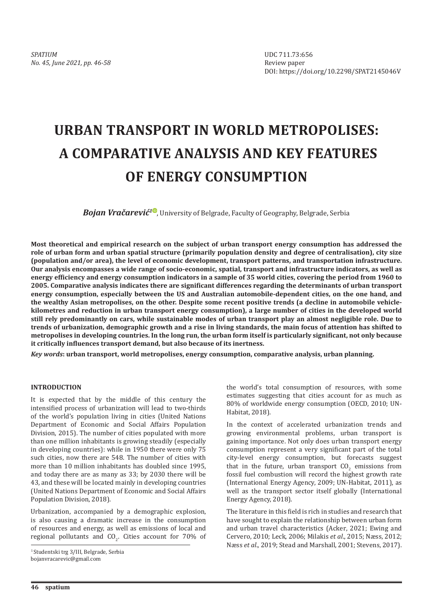# **URBAN TRANSPORT IN WORLD METROPOLISES: A COMPARATIVE ANALYSIS AND KEY FEATURES OF ENERGY CONSUMPTION**

*Bojan Vračarević<sup>10</sup>*, University of Belgrade, Faculty of Geography, Belgrade, Serbia

**Most theoretical and empirical research on the subject of urban transport energy consumption has addressed the role of urban form and urban spatial structure (primarily population density and degree of centralisation), city size (population and/or area), the level of economic development, transport patterns, and transportation infrastructure. Our analysis encompasses a wide range of socio-economic, spatial, transport and infrastructure indicators, as well as energy efficiency and energy consumption indicators in a sample of 35 world cities, covering the period from 1960 to 2005. Comparative analysis indicates there are significant differences regarding the determinants of urban transport energy consumption, especially between the US and Australian automobile-dependent cities, on the one hand, and the wealthy Asian metropolises, on the other. Despite some recent positive trends (a decline in automobile vehiclekilometres and reduction in urban transport energy consumption), a large number of cities in the developed world still rely predominantly on cars, while sustainable modes of urban transport play an almost negligible role. Due to trends of urbanization, demographic growth and a rise in living standards, the main focus of attention has shifted to metropolises in developing countries. In the long run, the urban form itself is particularly significant, not only because it critically influences transport demand, but also because of its inertness.**

*Key words***: urban transport, world metropolises, energy consumption, comparative analysis, urban planning.**

## **INTRODUCTION**

It is expected that by the middle of this century the intensified process of urbanization will lead to two-thirds of the world's population living in cities (United Nations Department of Economic and Social Affairs Population Division, 2015). The number of cities populated with more than one million inhabitants is growing steadily (especially in developing countries): while in 1950 there were only 75 such cities, now there are 548. The number of cities with more than 10 million inhabitants has doubled since 1995, and today there are as many as 33; by 2030 there will be 43, and these will be located mainly in developing countries (United Nations Department of Economic and Social Affairs Population Division, 2018).

Urbanization, accompanied by a demographic explosion, is also causing a dramatic increase in the consumption of resources and energy, as well as emissions of local and regional pollutants and  $CO<sub>2</sub>$ . Cities account for 70% of

1 Studentski trg 3/III, Belgrade, Serbia bojanvracarevic@gmail.com

the world's total consumption of resources, with some estimates suggesting that cities account for as much as 80% of worldwide energy consumption (OECD, 2010; UN-Habitat, 2018).

In the context of accelerated urbanization trends and growing environmental problems, urban transport is gaining importance. Not only does urban transport energy consumption represent a very significant part of the total city-level energy consumption, but forecasts suggest that in the future, urban transport  $CO<sub>2</sub>$  emissions from fossil fuel combustion will record the highest growth rate (International Energy Agency, 2009; UN-Habitat, 2011), as well as the transport sector itself globally (International Energy Agency, 2018).

The literature in this field is rich in studies and research that have sought to explain the relationship between urban form and urban travel characteristics (Acker, 2021; Ewing and Cervero, 2010; Leck, 2006; Milakis *et al*., 2015; Næss, 2012; Næss *et al*., 2019; Stead and Marshall, 2001; Stevens, 2017).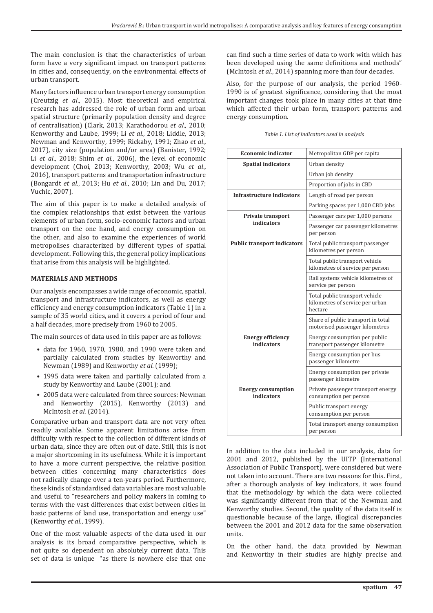The main conclusion is that the characteristics of urban form have a very significant impact on transport patterns in cities and, consequently, on the environmental effects of urban transport.

Many factors influence urban transport energy consumption (Creutzig *et al*., 2015). Most theoretical and empirical research has addressed the role of urban form and urban spatial structure (primarily population density and degree of centralisation) (Clark, 2013; Karathodorou *et al*., 2010; Kenworthy and Laube, 1999; Li *et al*., 2018; Liddle, 2013; Newman and Kenworthy, 1999; Rickaby, 1991; Zhao *et al*., 2017), city size (population and/or area) (Banister, 1992; Li *et al*., 2018; Shim *et al*., 2006), the level of economic development (Choi, 2013; Kenworthy, 2003; Wu *et al*., 2016), transport patterns and transportation infrastructure (Bongardt *et al*., 2013; Hu *et al*., 2010; Lin and Du, 2017; Vuchic, 2007).

The aim of this paper is to make a detailed analysis of the complex relationships that exist between the various elements of urban form, socio-economic factors and urban transport on the one hand, and energy consumption on the other, and also to examine the experiences of world metropolises characterized by different types of spatial development. Following this, the general policy implications that arise from this analysis will be highlighted.

#### **MATERIALS AND METHODS**

Our analysis encompasses a wide range of economic, spatial, transport and infrastructure indicators, as well as energy efficiency and energy consumption indicators (Table 1) in a sample of 35 world cities, and it covers a period of four and a half decades, more precisely from 1960 to 2005.

The main sources of data used in this paper are as follows:

- data for 1960, 1970, 1980, and 1990 were taken and partially calculated from studies by Kenworthy and Newman (1989) and Kenworthy *et al*. (1999);
- 1995 data were taken and partially calculated from a study by Kenworthy and Laube (2001); and
- 2005 data were calculated from three sources: Newman and Kenworthy (2015), Kenworthy (2013) and McIntosh *et al*. (2014).

Comparative urban and transport data are not very often readily available. Some apparent limitations arise from difficulty with respect to the collection of different kinds of urban data, since they are often out of date. Still, this is not a major shortcoming in its usefulness. While it is important to have a more current perspective, the relative position between cities concerning many characteristics does not radically change over a ten-years period. Furthermore, these kinds of standardised data variables are most valuable and useful to "researchers and policy makers in coming to terms with the vast differences that exist between cities in basic patterns of land use, transportation and energy use" (Kenworthy *et al*., 1999).

One of the most valuable aspects of the data used in our analysis is its broad comparative perspective, which is not quite so dependent on absolutely current data. This set of data is unique "as there is nowhere else that one

can find such a time series of data to work with which has been developed using the same definitions and methods" (McIntosh *et al*., 2014) spanning more than four decades.

Also, for the purpose of our analysis, the period 1960- 1990 is of greatest significance, considering that the most important changes took place in many cities at that time which affected their urban form, transport patterns and energy consumption.

| <b>Economic indicator</b>               | Metropolitan GDP per capita                                                  |
|-----------------------------------------|------------------------------------------------------------------------------|
| <b>Spatial indicators</b>               | Urban density                                                                |
|                                         | Urban job density                                                            |
|                                         | Proportion of jobs in CBD                                                    |
| Infrastructure indicators               | Length of road per person                                                    |
|                                         | Parking spaces per 1,000 CBD jobs                                            |
| Private transport                       | Passenger cars per 1,000 persons                                             |
| indicators                              | Passenger car passenger kilometres<br>per person                             |
| <b>Public transport indicators</b>      | Total public transport passenger<br>kilometres per person                    |
|                                         | Total public transport vehicle<br>kilometres of service per person           |
|                                         | Rail systems vehicle kilometres of<br>service per person                     |
|                                         | Total public transport vehicle<br>kilometres of service per urban<br>hectare |
|                                         | Share of public transport in total<br>motorised passenger kilometres         |
| <b>Energy efficiency</b><br>indicators  | Energy consumption per public<br>transport passenger kilometre               |
|                                         | Energy consumption per bus<br>passenger kilometre                            |
|                                         | Energy consumption per private<br>passenger kilometre                        |
| <b>Energy consumption</b><br>indicators | Private passenger transport energy<br>consumption per person                 |
|                                         | Public transport energy<br>consumption per person                            |
|                                         | Total transport energy consumption<br>per person                             |

*Table 1. List of indicators used in analysis*

In addition to the data included in our analysis, data for 2001 and 2012, published by the UITP (International Association of Public Transport), were considered but were not taken into account. There are two reasons for this. First, after a thorough analysis of key indicators, it was found that the methodology by which the data were collected was significantly different from that of the Newman and Kenworthy studies. Second, the quality of the data itself is questionable because of the large, illogical discrepancies between the 2001 and 2012 data for the same observation units.

On the other hand, the data provided by Newman and Kenworthy in their studies are highly precise and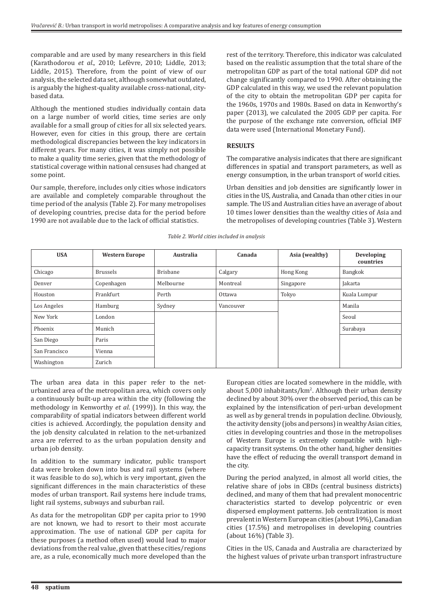comparable and are used by many researchers in this field (Karathodorou *et al*., 2010; Lefèvre, 2010; Liddle, 2013; Liddle, 2015). Therefore, from the point of view of our analysis, the selected data set, although somewhat outdated, is arguably the highest-quality available cross-national, citybased data.

Although the mentioned studies individually contain data on a large number of world cities, time series are only available for a small group of cities for all six selected years. However, even for cities in this group, there are certain methodological discrepancies between the key indicators in different years. For many cities, it was simply not possible to make a quality time series, given that the methodology of statistical coverage within national censuses had changed at some point.

Our sample, therefore, includes only cities whose indicators are available and completely comparable throughout the time period of the analysis (Table 2). For many metropolises of developing countries, precise data for the period before 1990 are not available due to the lack of official statistics.

rest of the territory. Therefore, this indicator was calculated based on the realistic assumption that the total share of the metropolitan GDP as part of the total national GDP did not change significantly compared to 1990. After obtaining the GDP calculated in this way, we used the relevant population of the city to obtain the metropolitan GDP per capita for the 1960s, 1970s and 1980s. Based on data in Kenworthy's paper (2013), we calculated the 2005 GDP per capita. For the purpose of the exchange rate conversion, official IMF data were used (International Monetary Fund).

### **RESULTS**

The comparative analysis indicates that there are significant differences in spatial and transport parameters, as well as energy consumption, in the urban transport of world cities.

Urban densities and job densities are significantly lower in cities in the US, Australia, and Canada than other cities in our sample. The US and Australian cities have an average of about 10 times lower densities than the wealthy cities of Asia and the metropolises of developing countries (Table 3). Western

| <b>USA</b>    | <b>Western Europe</b> | Australia | Canada        | Asia (wealthy) | Developing<br>countries |
|---------------|-----------------------|-----------|---------------|----------------|-------------------------|
| Chicago       | <b>Brussels</b>       | Brisbane  | Calgary       | Hong Kong      | Bangkok                 |
| Denver        | Copenhagen            | Melbourne | Montreal      | Singapore      | Jakarta                 |
| Houston       | Frankfurt             | Perth     | <b>Ottawa</b> | Tokyo          | Kuala Lumpur            |
| Los Angeles   | Hamburg               | Sydney    | Vancouver     |                | Manila                  |
| New York      | London                |           |               |                | Seoul                   |
| Phoenix       | Munich                |           |               |                | Surabaya                |
| San Diego     | Paris                 |           |               |                |                         |
| San Francisco | Vienna                |           |               |                |                         |
| Washington    | Zurich                |           |               |                |                         |

*Table 2. World cities included in analysis*

The urban area data in this paper refer to the neturbanized area of the metropolitan area, which covers only a continuously built-up area within the city (following the methodology in Kenworthy *et al*. (1999)). In this way, the comparability of spatial indicators between different world cities is achieved. Accordingly, the population density and the job density calculated in relation to the net-urbanized area are referred to as the urban population density and urban job density.

In addition to the summary indicator, public transport data were broken down into bus and rail systems (where it was feasible to do so), which is very important, given the significant differences in the main characteristics of these modes of urban transport. Rail systems here include trams, light rail systems, subways and suburban rail.

As data for the metropolitan GDP per capita prior to 1990 are not known, we had to resort to their most accurate approximation. The use of national GDP per capita for these purposes (a method often used) would lead to major deviations from the real value, given that these cities/regions are, as a rule, economically much more developed than the

European cities are located somewhere in the middle, with about 5,000 inhabitants/km<sup>2</sup>. Although their urban density declined by about 30% over the observed period, this can be explained by the intensification of peri-urban development as well as by general trends in population decline. Obviously, the activity density (jobs and persons) in wealthy Asian cities, cities in developing countries and those in the metropolises of Western Europe is extremely compatible with highcapacity transit systems. On the other hand, higher densities have the effect of reducing the overall transport demand in the city.

During the period analyzed, in almost all world cities, the relative share of jobs in CBDs (central business districts) declined, and many of them that had prevalent monocentric characteristics started to develop polycentric or even dispersed employment patterns. Job centralization is most prevalent in Western European cities (about 19%), Canadian cities (17.5%) and metropolises in developing countries (about 16%) (Table 3).

Cities in the US, Canada and Australia are characterized by the highest values of private urban transport infrastructure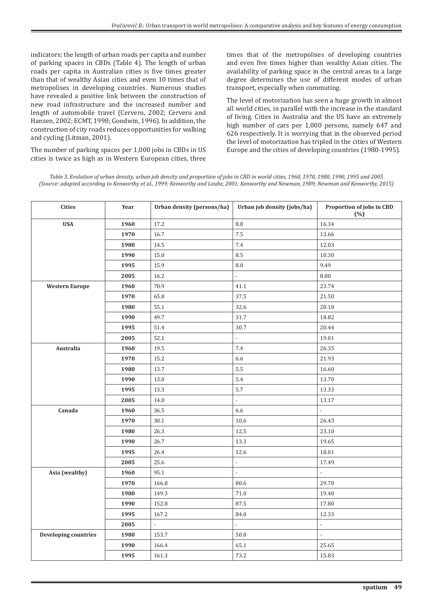indicators: the length of urban roads per capita and number of parking spaces in CBDs (Table 4). The length of urban roads per capita in Australian cities is five times greater than that of wealthy Asian cities and even 10 times that of metropolises in developing countries. Numerous studies have revealed a positive link between the construction of new road infrastructure and the increased number and length of automobile travel (Cervero, 2002; Cervero and Hansen, 2002; ECMT, 1998; Goodwin, 1996). In addition, the construction of city roads reduces opportunities for walking and cycling (Litman, 2001).

The number of parking spaces per 1,000 jobs in CBDs in US cities is twice as high as in Western European cities, three times that of the metropolises of developing countries and even five times higher than wealthy Asian cities. The availability of parking space in the central areas to a large degree determines the use of different modes of urban transport, especially when commuting.

The level of motorization has seen a huge growth in almost all world cities, in parallel with the increase in the standard of living. Cities in Australia and the US have an extremely high number of cars per 1,000 persons, namely 647 and 626 respectively. It is worrying that in the observed period the level of motorization has tripled in the cities of Western Europe and the cities of developing countries (1980-1995).

*Table 3. Evolution of urban density, urban job density and proportion of jobs in CBD in world cities, 1960, 1970, 1980, 1990, 1995 and 2005 (Source: adapted according to Kenworthy et al., 1999; Kenworthy and Laube, 2001; Kenworthy and Newman, 1989; Newman and Kenworthy, 2015)*

| <b>Cities</b>               | Year | Urban density (persons/ha) | Urban job density (jobs/ha) | Proportion of jobs in CBD<br>(%) |
|-----------------------------|------|----------------------------|-----------------------------|----------------------------------|
| <b>USA</b>                  | 1960 | 17.2                       | 8.0                         | 16.34                            |
|                             | 1970 | 16.7                       | 7.5                         | 13.66                            |
|                             | 1980 | 14.5                       | 7.4                         | 12.03                            |
|                             | 1990 | 15.0                       | 8.5                         | 10.30                            |
|                             | 1995 | 15.9                       | 8.0                         | 9.49                             |
|                             | 2005 | 16.2                       | $\overline{a}$              | 8.80                             |
| <b>Western Europe</b>       | 1960 | 70.9                       | 41.1                        | 23.74                            |
|                             | 1970 | 65.8                       | 37.5                        | 21.50                            |
|                             | 1980 | 55.1                       | 32.6                        | 20.10                            |
|                             | 1990 | 49.7                       | 31.7                        | 18.82                            |
|                             | 1995 | 51.4                       | 30.7                        | 20.44                            |
|                             | 2005 | 52.1                       | $\overline{\phantom{a}}$    | 19.01                            |
| Australia                   | 1960 | 19.5                       | 7.4                         | 26.35                            |
|                             | 1970 | 15.2                       | 6.6                         | 21.93                            |
|                             | 1980 | 13.7                       | 5.5                         | 16.60                            |
|                             | 1990 | 13.0                       | $5.4\,$                     | 13.70                            |
|                             | 1995 | 13.3                       | 5.7                         | 13.33                            |
|                             | 2005 | 14.0                       | $\overline{a}$              | 13.17                            |
| Canada                      | 1960 | 36.5                       | 6.6                         | $\overline{a}$                   |
|                             | 1970 | 30.1                       | 10.6                        | 26.43                            |
|                             | 1980 | 26.3                       | 12.5                        | 23.10                            |
|                             | 1990 | 26.7                       | 13.3                        | 19.65                            |
|                             | 1995 | 26.4                       | 12.6                        | 18.01                            |
|                             | 2005 | 25.6                       | $\overline{\phantom{a}}$    | 17.49                            |
| Asia (wealthy)              | 1960 | 95.1                       | $\overline{\phantom{a}}$    | $\overline{a}$                   |
|                             | 1970 | 166.8                      | 80.6                        | 29.70                            |
|                             | 1980 | 149.3                      | 71.0                        | 19.40                            |
|                             | 1990 | 152.8                      | 87.5                        | 17.80                            |
|                             | 1995 | 167.2                      | 84.0                        | 12.33                            |
|                             | 2005 | $\overline{\phantom{a}}$   |                             | $\overline{a}$                   |
| <b>Developing countries</b> | 1980 | 153.7                      | 50.8                        | $\frac{1}{2}$                    |
|                             | 1990 | 166.4                      | 65.1                        | 25.65                            |
|                             | 1995 | 161.3                      | 73.2                        | 15.83                            |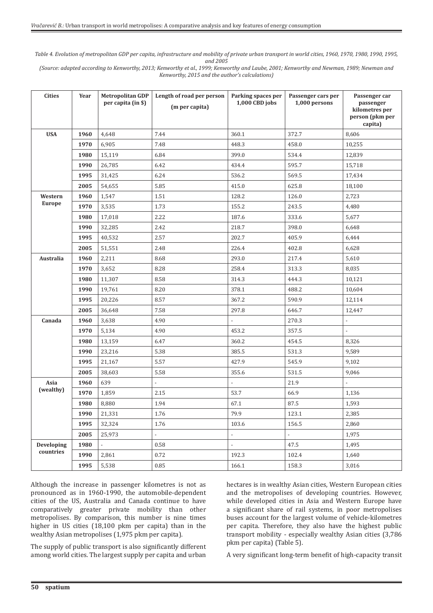*Table 4. Evolution of metropolitan GDP per capita, infrastructure and mobility of private urban transport in world cities, 1960, 1970, 1980, 1990, 1995, and 2005* 

*(Source: adapted according to Kenworthy, 2013; Kenworthy et al., 1999; Kenworthy and Laube, 2001; Kenworthy and Newman, 1989; Newman and Kenworthy, 2015 and the author's calculations)*

| <b>Cities</b> | Year | <b>Metropolitan GDP</b><br>per capita (in \$) | Length of road per person<br>(m per capita) | Parking spaces per<br>1,000 CBD jobs | Passenger cars per<br>1,000 persons | Passenger car<br>passenger<br>kilometres per<br>person (pkm per<br>capita) |
|---------------|------|-----------------------------------------------|---------------------------------------------|--------------------------------------|-------------------------------------|----------------------------------------------------------------------------|
| <b>USA</b>    | 1960 | 4.648                                         | 7.44                                        | 360.1                                | 372.7                               | 8,606                                                                      |
|               | 1970 | 6,905                                         | 7.48                                        | 448.3                                | 458.0                               | 10,255                                                                     |
|               | 1980 | 15,119                                        | 6.84                                        | 399.0                                | 534.4                               | 12,839                                                                     |
|               | 1990 | 26,785                                        | 6.42                                        | 434.4                                | 595.7                               | 15,718                                                                     |
|               | 1995 | 31,425                                        | 6.24                                        | 536.2                                | 569.5                               | 17,434                                                                     |
|               | 2005 | 54,655                                        | 5.85                                        | 415.0                                | 625.8                               | 18,100                                                                     |
| Western       | 1960 | 1,547                                         | 1.51                                        | 128.2                                | 126.0                               | 2,723                                                                      |
| <b>Europe</b> | 1970 | 3,535                                         | 1.73                                        | 155.2                                | 243.5                               | 4,480                                                                      |
|               | 1980 | 17,018                                        | 2.22                                        | 187.6                                | 333.6                               | 5,677                                                                      |
|               | 1990 | 32,285                                        | 2.42                                        | 218.7                                | 398.0                               | 6,648                                                                      |
|               | 1995 | 40,532                                        | 2.57                                        | 202.7                                | 405.9                               | 6,444                                                                      |
|               | 2005 | 51,551                                        | 2.48                                        | 226.4                                | 402.8                               | 6,628                                                                      |
| Australia     | 1960 | 2,211                                         | 8.68                                        | 293.0                                | 217.4                               | 5,610                                                                      |
|               | 1970 | 3,652                                         | 8.28                                        | 258.4                                | 313.3                               | 8,035                                                                      |
|               | 1980 | 11,307                                        | 8.58                                        | 314.3                                | 444.3                               | 10,121                                                                     |
|               | 1990 | 19,761                                        | 8.20                                        | 378.1                                | 488.2                               | 10,604                                                                     |
|               | 1995 | 20,226                                        | 8.57                                        | 367.2                                | 590.9                               | 12,114                                                                     |
|               | 2005 | 36,648                                        | 7.58                                        | 297.8                                | 646.7                               | 12,447                                                                     |
| Canada        | 1960 | 3,638                                         | 4.90                                        |                                      | 270.3                               | $\overline{\phantom{a}}$                                                   |
|               | 1970 | 5,134                                         | 4.90                                        | 453.2                                | 357.5                               | $\overline{\phantom{a}}$                                                   |
|               | 1980 | 13,159                                        | 6.47                                        | 360.2                                | 454.5                               | 8,326                                                                      |
|               | 1990 | 23,216                                        | 5.38                                        | 385.5                                | 531.3                               | 9,589                                                                      |
|               | 1995 | 21,167                                        | 5.57                                        | 427.9                                | 545.9                               | 9,102                                                                      |
|               | 2005 | 38,603                                        | 5.58                                        | 355.6                                | 531.5                               | 9,046                                                                      |
| Asia          | 1960 | 639                                           | $\centerdot$                                | $\overline{a}$                       | 21.9                                |                                                                            |
| (wealthy)     | 1970 | 1,859                                         | 2.15                                        | 53.7                                 | 66.9                                | 1,136                                                                      |
|               | 1980 | 8,880                                         | 1.94                                        | 67.1                                 | 87.5                                | 1,593                                                                      |
|               | 1990 | 21,331                                        | 1.76                                        | 79.9                                 | 123.1                               | 2,385                                                                      |
|               | 1995 | 32,324                                        | 1.76                                        | 103.6                                | 156.5                               | 2,860                                                                      |
|               | 2005 | 25,973                                        | $\overline{\phantom{a}}$                    | $\mathbb{Z}^d$                       | $\mathbb{Z}^2$                      | 1,975                                                                      |
| Developing    | 1980 | $\overline{\phantom{a}}$                      | 0.58                                        | $\overline{\phantom{a}}$             | 47.5                                | 1,495                                                                      |
| countries     | 1990 | 2,861                                         | 0.72                                        | 192.3                                | 102.4                               | 1,640                                                                      |
|               | 1995 | 5,538                                         | 0.85                                        | 166.1                                | 158.3                               | 3,016                                                                      |

Although the increase in passenger kilometres is not as pronounced as in 1960-1990, the automobile-dependent cities of the US, Australia and Canada continue to have comparatively greater private mobility than other metropolises. By comparison, this number is nine times higher in US cities (18,100 pkm per capita) than in the wealthy Asian metropolises (1,975 pkm per capita).

The supply of public transport is also significantly different among world cities. The largest supply per capita and urban hectares is in wealthy Asian cities, Western European cities and the metropolises of developing countries. However, while developed cities in Asia and Western Europe have a significant share of rail systems, in poor metropolises buses account for the largest volume of vehicle-kilometres per capita. Therefore, they also have the highest public transport mobility - especially wealthy Asian cities (3,786 pkm per capita) (Table 5).

A very significant long-term benefit of high-capacity transit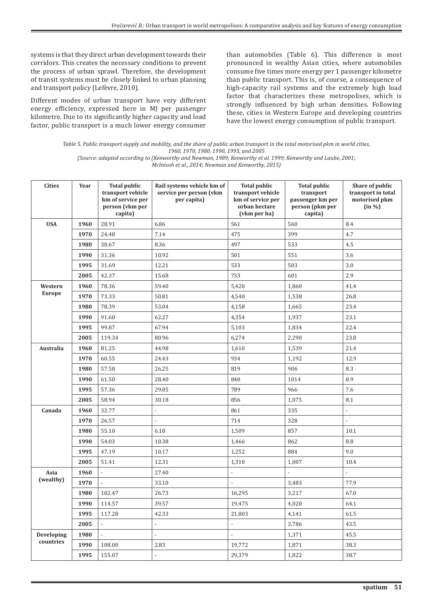systems is that they direct urban development towards their corridors. This creates the necessary conditions to prevent the process of urban sprawl. Therefore, the development of transit systems must be closely linked to urban planning and transport policy (Lefèvre, 2010).

Different modes of urban transport have very different energy efficiency, expressed here in MJ per passenger kilometre. Due to its significantly higher capacity and load factor, public transport is a much lower energy consumer than automobiles (Table 6). This difference is most pronounced in wealthy Asian cities, where automobiles consume five times more energy per 1 passenger kilometre than public transport. This is, of course, a consequence of high-capacity rail systems and the extremely high load factor that characterizes these metropolises, which is strongly influenced by high urban densities. Following these, cities in Western Europe and developing countries have the lowest energy consumption of public transport.

*Table 5. Public transport supply and mobility, and the share of public urban transport in the total motorised pkm in world cities, 1960, 1970, 1980, 1990, 1995, and 2005*

*(Source: adapted according to (Kenworthy and Newman, 1989; Kenworthy et al. 1999; Kenworthy and Laube, 2001; McIntosh et al., 2014; Newman and Kenworthy, 2015)*

| <b>Cities</b> | Year | <b>Total public</b><br>transport vehicle<br>km of service per<br>person (vkm per<br>capita) | Rail systems vehicle km of<br>service per person (vkm<br>per capita) | <b>Total public</b><br>transport vehicle<br>km of service per<br>urban hectare<br>(vkm per ha) | <b>Total public</b><br>transport<br>passenger km per<br>person (pkm per<br>capita) | Share of public<br>transport in total<br>motorised pkm<br>(in %) |
|---------------|------|---------------------------------------------------------------------------------------------|----------------------------------------------------------------------|------------------------------------------------------------------------------------------------|------------------------------------------------------------------------------------|------------------------------------------------------------------|
| <b>USA</b>    | 1960 | 28.91                                                                                       | 6.86                                                                 | 561                                                                                            | 560                                                                                | 8.4                                                              |
|               | 1970 | 24.48                                                                                       | 7.14                                                                 | 475                                                                                            | 399                                                                                | 4.7                                                              |
|               | 1980 | 30.67                                                                                       | 8.36                                                                 | 497                                                                                            | 533                                                                                | 4.5                                                              |
|               | 1990 | 31.36                                                                                       | 10.92                                                                | 501                                                                                            | 551                                                                                | 3.6                                                              |
|               | 1995 | 31.69                                                                                       | 12.21                                                                | 533                                                                                            | 503                                                                                | 3.0                                                              |
|               | 2005 | 42.37                                                                                       | 15.68                                                                | 733                                                                                            | 601                                                                                | 2.9                                                              |
| Western       | 1960 | 78.36                                                                                       | 59.40                                                                | 5,420                                                                                          | 1,860                                                                              | 41.4                                                             |
| <b>Europe</b> | 1970 | 73.33                                                                                       | 50.81                                                                | 4,540                                                                                          | 1,538                                                                              | 26.8                                                             |
|               | 1980 | 78.39                                                                                       | 53.04                                                                | 4,158                                                                                          | 1,665                                                                              | 23.4                                                             |
|               | 1990 | 91.60                                                                                       | 62.27                                                                | 4,354                                                                                          | 1,937                                                                              | 23.1                                                             |
|               | 1995 | 99.87                                                                                       | 67.94                                                                | 5,103                                                                                          | 1,834                                                                              | 22.4                                                             |
|               | 2005 | 119.34                                                                                      | 80.96                                                                | 6,274                                                                                          | 2,290                                                                              | 23.8                                                             |
| Australia     | 1960 | 81.25                                                                                       | 44.98                                                                | 1,610                                                                                          | 1,539                                                                              | 21.4                                                             |
|               | 1970 | 60.55                                                                                       | 24.43                                                                | 934                                                                                            | 1,192                                                                              | 12.9                                                             |
|               | 1980 | 57.58                                                                                       | 26.25                                                                | 819                                                                                            | 906                                                                                | 8.3                                                              |
|               | 1990 | 61.50                                                                                       | 28.40                                                                | 840                                                                                            | 1014                                                                               | 8.9                                                              |
|               | 1995 | 57.36                                                                                       | 29.05                                                                | 789                                                                                            | 966                                                                                | 7.6                                                              |
|               | 2005 | 58.94                                                                                       | 30.18                                                                | 856                                                                                            | 1,075                                                                              | 8.1                                                              |
| Canada        | 1960 | 32.77                                                                                       | $\overline{a}$                                                       | 861                                                                                            | 335                                                                                | $\overline{\phantom{a}}$                                         |
|               | 1970 | 26.57                                                                                       |                                                                      | 714                                                                                            | 328                                                                                | $\overline{\phantom{a}}$                                         |
|               | 1980 | 55.10                                                                                       | 6.18                                                                 | 1,509                                                                                          | 857                                                                                | 10.1                                                             |
|               | 1990 | 54.03                                                                                       | 10.38                                                                | 1,466                                                                                          | 862                                                                                | 8.8                                                              |
|               | 1995 | 47.19                                                                                       | 10.17                                                                | 1,252                                                                                          | 884                                                                                | 9.0                                                              |
|               | 2005 | 51.41                                                                                       | 12.31                                                                | 1,310                                                                                          | 1,007                                                                              | 10.4                                                             |
| Asia          | 1960 |                                                                                             | 27.40                                                                | ÷,                                                                                             |                                                                                    |                                                                  |
| (wealthy)     | 1970 |                                                                                             | 33.10                                                                |                                                                                                | 3,483                                                                              | 77.9                                                             |
|               | 1980 | 102.47                                                                                      | 26.73                                                                | 16,295                                                                                         | 3,217                                                                              | 67.0                                                             |
|               | 1990 | 114.57                                                                                      | 39.57                                                                | 19,475                                                                                         | 4,020                                                                              | 64.1                                                             |
|               | 1995 | 117.28                                                                                      | 42.33                                                                | 21,803                                                                                         | 4,141                                                                              | 61.5                                                             |
|               | 2005 | $\overline{\phantom{a}}$                                                                    | $\overline{\phantom{0}}$                                             | $\overline{\phantom{a}}$                                                                       | 3,786                                                                              | 43.5                                                             |
| Developing    | 1980 | $\overline{\phantom{a}}$                                                                    | $\overline{a}$                                                       | $\overline{\phantom{a}}$                                                                       | 1,371                                                                              | 45.5                                                             |
| countries     | 1990 | 108.00                                                                                      | 2.83                                                                 | 19,772                                                                                         | 1,871                                                                              | 38.3                                                             |
|               | 1995 | 155.07                                                                                      |                                                                      | 29,379                                                                                         | 1,822                                                                              | 38.7                                                             |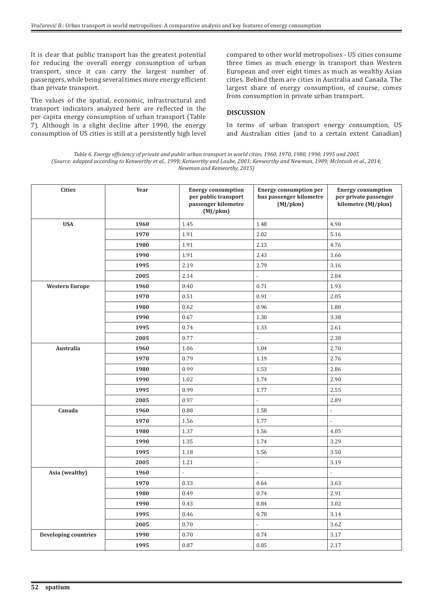It is clear that public transport has the greatest potential for reducing the overall energy consumption of urban transport, since it can carry the largest number of passengers, while being several times more energy efficient than private transport.

The values of the spatial, economic, infrastructural and transport indicators analyzed here are reflected in the per capita energy consumption of urban transport (Table 7). Although in a slight decline after 1990, the energy consumption of US cities is still at a persistently high level compared to other world metropolises - US cities consume three times as much energy in transport than Western European and over eight times as much as wealthy Asian cities. Behind them are cities in Australia and Canada. The largest share of energy consumption, of course, comes from consumption in private urban transport.

### **DISCUSSION**

In terms of urban transport energy consumption, US and Australian cities (and to a certain extent Canadian)

*Table 6. Energy efficiency of private and public urban transport in world cities, 1960, 1970, 1980, 1990, 1995 and 2005 (Source: adapted according to Kenworthy et al., 1999; Kenworthy and Laube, 2001; Kenworthy and Newman, 1989; McIntosh et al., 2014; Newman and Kenworthy, 2015)*

| <b>Cities</b>               | Year | <b>Energy consumption</b><br>per public transport<br>passenger kilometre<br>$(MJ/\text{pkm})$ | <b>Energy consumption per</b><br>bus passenger kilometre<br>$(MJ/\text{pkm})$ | <b>Energy consumption</b><br>per private passenger<br>kilometre (MJ/pkm) |
|-----------------------------|------|-----------------------------------------------------------------------------------------------|-------------------------------------------------------------------------------|--------------------------------------------------------------------------|
| <b>USA</b>                  | 1960 | 1.45                                                                                          | 1.48                                                                          | 4.90                                                                     |
|                             | 1970 | 1.91                                                                                          | 2.02                                                                          | 5.16                                                                     |
|                             | 1980 | 1.91                                                                                          | 2.13                                                                          | 4.76                                                                     |
|                             | 1990 | 1.91                                                                                          | 2.43                                                                          | 3.66                                                                     |
|                             | 1995 | 2.19                                                                                          | 2.79                                                                          | 3.16                                                                     |
|                             | 2005 | 2.14                                                                                          |                                                                               | 2.84                                                                     |
| <b>Western Europe</b>       | 1960 | 0.40                                                                                          | 0.71                                                                          | 1.93                                                                     |
|                             | 1970 | 0.51                                                                                          | 0.91                                                                          | 2.05                                                                     |
|                             | 1980 | 0.62                                                                                          | 0.96                                                                          | 1.88                                                                     |
|                             | 1990 | 0.67                                                                                          | 1.30                                                                          | 3.38                                                                     |
|                             | 1995 | 0.74                                                                                          | 1.33                                                                          | 2.61                                                                     |
|                             | 2005 | 0.77                                                                                          | $\overline{a}$                                                                | 2.38                                                                     |
| Australia                   | 1960 | 1.06                                                                                          | 1.04                                                                          | 2.70                                                                     |
|                             | 1970 | 0.79                                                                                          | 1.19                                                                          | 2.76                                                                     |
|                             | 1980 | 0.99                                                                                          | 1.53                                                                          | 2.86                                                                     |
|                             | 1990 | 1.02                                                                                          | 1.74                                                                          | 2.90                                                                     |
|                             | 1995 | 0.99                                                                                          | 1.77                                                                          | 2.55                                                                     |
|                             | 2005 | 0.97                                                                                          | $\overline{a}$                                                                | 2.89                                                                     |
| Canada                      | 1960 | 0.88                                                                                          | 1.58                                                                          | $\overline{a}$                                                           |
|                             | 1970 | 1.56                                                                                          | 1.77                                                                          | $\overline{a}$                                                           |
|                             | 1980 | 1.37                                                                                          | 1.56                                                                          | 4.05                                                                     |
|                             | 1990 | 1.35                                                                                          | 1.74                                                                          | 3.29                                                                     |
|                             | 1995 | 1.18                                                                                          | 1.56                                                                          | 3.50                                                                     |
|                             | 2005 | 1.21                                                                                          | $\frac{1}{2}$                                                                 | 3.19                                                                     |
| Asia (wealthy)              | 1960 | $\overline{a}$                                                                                | $\overline{a}$                                                                |                                                                          |
|                             | 1970 | 0.33                                                                                          | 0.64                                                                          | 3.63                                                                     |
|                             | 1980 | 0.49                                                                                          | 0.74                                                                          | 2.91                                                                     |
|                             | 1990 | 0.43                                                                                          | 0.84                                                                          | 3.02                                                                     |
|                             | 1995 | 0.46                                                                                          | 0.78                                                                          | 3.14                                                                     |
|                             | 2005 | 0.70                                                                                          | $\overline{a}$                                                                | 3.62                                                                     |
| <b>Developing countries</b> | 1990 | 0.70                                                                                          | 0.74                                                                          | 3.17                                                                     |
|                             | 1995 | 0.87                                                                                          | 0.85                                                                          | 2.17                                                                     |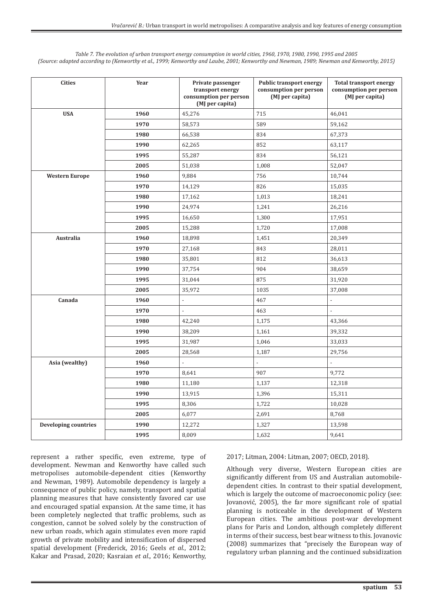| <b>Cities</b>               | Year | Private passenger<br>transport energy<br>consumption per person<br>(MJ per capita) | <b>Public transport energy</b><br>consumption per person<br>(MJ per capita) | <b>Total transport energy</b><br>consumption per person<br>(MJ per capita) |
|-----------------------------|------|------------------------------------------------------------------------------------|-----------------------------------------------------------------------------|----------------------------------------------------------------------------|
| <b>USA</b>                  | 1960 | 45,276                                                                             | 715                                                                         | 46,041                                                                     |
|                             | 1970 | 58,573                                                                             | 589                                                                         | 59,162                                                                     |
|                             | 1980 | 66,538                                                                             | 834                                                                         | 67,373                                                                     |
|                             | 1990 | 62,265                                                                             | 852                                                                         | 63,117                                                                     |
|                             | 1995 | 55,287                                                                             | 834                                                                         | 56,121                                                                     |
|                             | 2005 | 51,038                                                                             | 1,008                                                                       | 52,047                                                                     |
| <b>Western Europe</b>       | 1960 | 9,884                                                                              | 756                                                                         | 10,744                                                                     |
|                             | 1970 | 14,129                                                                             | 826                                                                         | 15,035                                                                     |
|                             | 1980 | 17,162                                                                             | 1,013                                                                       | 18,241                                                                     |
|                             | 1990 | 24,974                                                                             | 1,241                                                                       | 26,216                                                                     |
|                             | 1995 | 16,650                                                                             | 1,300                                                                       | 17,951                                                                     |
|                             | 2005 | 15,288                                                                             | 1,720                                                                       | 17,008                                                                     |
| Australia                   | 1960 | 18,898                                                                             | 1,451                                                                       | 20,349                                                                     |
|                             | 1970 | 27,168                                                                             | 843                                                                         | 28,011                                                                     |
|                             | 1980 | 35,801                                                                             | 812                                                                         | 36,613                                                                     |
|                             | 1990 | 37,754                                                                             | 904                                                                         | 38,659                                                                     |
|                             | 1995 | 31,044                                                                             | 875                                                                         | 31,920                                                                     |
|                             | 2005 | 35,972                                                                             | 1035                                                                        | 37,008                                                                     |
| Canada                      | 1960 | $\overline{\phantom{a}}$                                                           | 467                                                                         | $\overline{a}$                                                             |
|                             | 1970 | $\overline{\phantom{a}}$                                                           | 463                                                                         | $\overline{\phantom{a}}$                                                   |
|                             | 1980 | 42,240                                                                             | 1,175                                                                       | 43,366                                                                     |
|                             | 1990 | 38,209                                                                             | 1,161                                                                       | 39,332                                                                     |
|                             | 1995 | 31,987                                                                             | 1,046                                                                       | 33,033                                                                     |
|                             | 2005 | 28,568                                                                             | 1,187                                                                       | 29,756                                                                     |
| Asia (wealthy)              | 1960 |                                                                                    |                                                                             |                                                                            |
|                             | 1970 | 8,641                                                                              | 907                                                                         | 9,772                                                                      |
|                             | 1980 | 11,180                                                                             | 1,137                                                                       | 12,318                                                                     |
|                             | 1990 | 13,915                                                                             | 1,396                                                                       | 15,311                                                                     |
|                             | 1995 | 8,306                                                                              | 1,722                                                                       | 10,028                                                                     |
|                             | 2005 | 6,077                                                                              | 2,691                                                                       | 8,768                                                                      |
| <b>Developing countries</b> | 1990 | 12,272                                                                             | 1,327                                                                       | 13,598                                                                     |
|                             | 1995 | 8,009                                                                              | 1,632                                                                       | 9,641                                                                      |

*Table 7. The evolution of urban transport energy consumption in world cities, 1960, 1970, 1980, 1990, 1995 and 2005 (Source: adapted according to (Kenworthy et al., 1999; Kenworthy and Laube, 2001; Kenworthy and Newman, 1989; Newman and Kenworthy, 2015)*

represent a rather specific, even extreme, type of development. Newman and Kenworthy have called such metropolises automobile-dependent cities (Kenworthy and Newman, 1989). Automobile dependency is largely a consequence of public policy, namely, transport and spatial planning measures that have consistently favored car use and encouraged spatial expansion. At the same time, it has been completely neglected that traffic problems, such as congestion, cannot be solved solely by the construction of new urban roads, which again stimulates even more rapid growth of private mobility and intensification of dispersed spatial development (Frederick, 2016; Geels *et al*., 2012; Kakar and Prasad, 2020; Kasraian *et al*., 2016; Kenworthy, 2017; Litman, 2004: Litman, 2007; OECD, 2018).

Although very diverse, Western European cities are significantly different from US and Australian automobiledependent cities. In contrast to their spatial development, which is largely the outcome of macroeconomic policy (see: Jovanović, 2005), the far more significant role of spatial planning is noticeable in the development of Western European cities. The ambitious post-war development plans for Paris and London, although completely different in terms of their success, best bear witness to this. Jovanovic (2008) summarizes that "precisely the European way of regulatory urban planning and the continued subsidization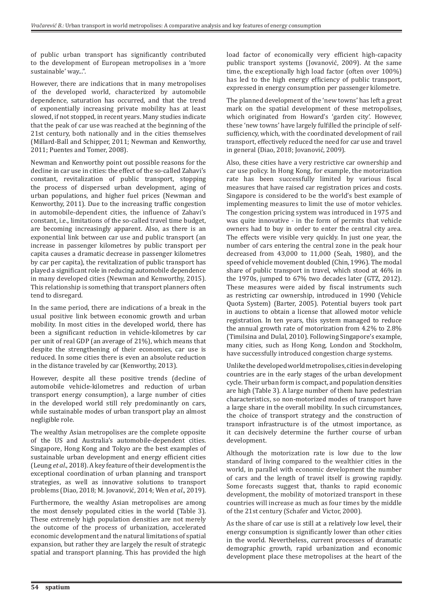of public urban transport has significantly contributed to the development of European metropolises in a 'more sustainable' way...".

However, there are indications that in many metropolises of the developed world, characterized by automobile dependence, saturation has occurred, and that the trend of exponentially increasing private mobility has at least slowed, if not stopped, in recent years. Many studies indicate that the peak of car use was reached at the beginning of the 21st century, both nationally and in the cities themselves (Millard-Ball and Schipper, 2011; Newman and Kenworthy, 2011; Puentes and Tomer, 2008).

Newman and Kenworthy point out possible reasons for the decline in car use in cities: the effect of the so-called Zahavi's constant, revitalization of public transport, stopping the process of dispersed urban development, aging of urban populations, and higher fuel prices (Newman and Kenworthy, 2011). Due to the increasing traffic congestion in automobile-dependent cities, the influence of Zahavi's constant, i.e., limitations of the so-called travel time budget, are becoming increasingly apparent. Also, as there is an exponential link between car use and public transport (an increase in passenger kilometres by public transport per capita causes a dramatic decrease in passenger kilometres by car per capita), the revitalization of public transport has played a significant role in reducing automobile dependence in many developed cities (Newman and Kenworthy, 2015). This relationship is something that transport planners often tend to disregard.

In the same period, there are indications of a break in the usual positive link between economic growth and urban mobility. In most cities in the developed world, there has been a significant reduction in vehicle-kilometres by car per unit of real GDP (an average of 21%), which means that despite the strengthening of their economies, car use is reduced. In some cities there is even an absolute reduction in the distance traveled by car (Kenworthy, 2013).

However, despite all these positive trends (decline of automobile vehicle-kilometres and reduction of urban transport energy consumption), a large number of cities in the developed world still rely predominantly on cars, while sustainable modes of urban transport play an almost negligible role.

The wealthy Asian metropolises are the complete opposite of the US and Australia's automobile-dependent cities. Singapore, Hong Kong and Tokyo are the best examples of sustainable urban development and energy efficient cities (Leung *et al*., 2018). A key feature of their development is the exceptional coordination of urban planning and transport strategies, as well as innovative solutions to transport problems (Diao, 2018; M. Jovanović, 2014; Wen *et al*., 2019).

Furthermore, the wealthy Asian metropolises are among the most densely populated cities in the world (Table 3). These extremely high population densities are not merely the outcome of the process of urbanization, accelerated economic development and the natural limitations of spatial expansion, but rather they are largely the result of strategic spatial and transport planning. This has provided the high

load factor of economically very efficient high-capacity public transport systems (Jovanović, 2009). At the same time, the exceptionally high load factor (often over 100%) has led to the high energy efficiency of public transport, expressed in energy consumption per passenger kilometre.

The planned development of the 'new towns' has left a great mark on the spatial development of these metropolises, which originated from Howard's 'garden city'. However, these 'new towns' have largely fulfilled the principle of selfsufficiency, which, with the coordinated development of rail transport, effectively reduced the need for car use and travel in general (Diao, 2018; Jovanović, 2009).

Also, these cities have a very restrictive car ownership and car use policy. In Hong Kong, for example, the motorization rate has been successfully limited by various fiscal measures that have raised car registration prices and costs. Singapore is considered to be the world's best example of implementing measures to limit the use of motor vehicles. The congestion pricing system was introduced in 1975 and was quite innovative - in the form of permits that vehicle owners had to buy in order to enter the central city area. The effects were visible very quickly. In just one year, the number of cars entering the central zone in the peak hour decreased from 43,000 to 11,000 (Seah, 1980), and the speed of vehicle movement doubled (Chin, 1996). The modal share of public transport in travel, which stood at 46% in the 1970s, jumped to 67% two decades later (GTZ, 2012). These measures were aided by fiscal instruments such as restricting car ownership, introduced in 1990 (Vehicle Quota System) (Barter, 2005). Potential buyers took part in auctions to obtain a license that allowed motor vehicle registration. In ten years, this system managed to reduce the annual growth rate of motorization from 4.2% to 2.8% (Timilsina and Dulal, 2010). Following Singapore's example, many cities, such as Hong Kong, London and Stockholm, have successfully introduced congestion charge systems.

Unlike the developed world metropolises, cities in developing countries are in the early stages of the urban development cycle. Their urban form is compact, and population densities are high (Table 3). A large number of them have pedestrian characteristics, so non-motorized modes of transport have a large share in the overall mobility. In such circumstances, the choice of transport strategy and the construction of transport infrastructure is of the utmost importance, as it can decisively determine the further course of urban development.

Although the motorization rate is low due to the low standard of living compared to the wealthier cities in the world, in parallel with economic development the number of cars and the length of travel itself is growing rapidly. Some forecasts suggest that, thanks to rapid economic development, the mobility of motorized transport in these countries will increase as much as four times by the middle of the 21st century (Schafer and Victor, 2000).

As the share of car use is still at a relatively low level, their energy consumption is significantly lower than other cities in the world. Nevertheless, current processes of dramatic demographic growth, rapid urbanization and economic development place these metropolises at the heart of the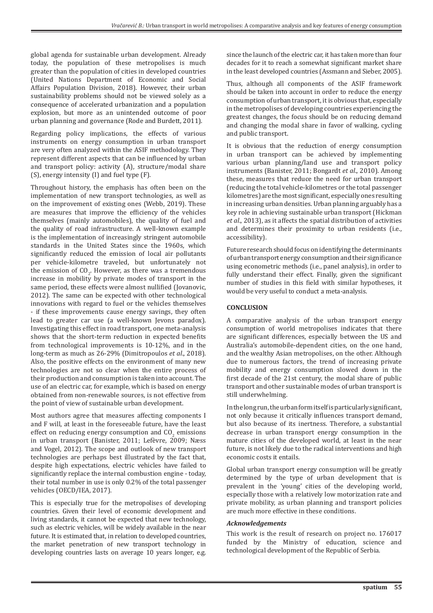global agenda for sustainable urban development. Already today, the population of these metropolises is much greater than the population of cities in developed countries (United Nations Department of Economic and Social Affairs Population Division, 2018). However, their urban sustainability problems should not be viewed solely as a consequence of accelerated urbanization and a population explosion, but more as an unintended outcome of poor urban planning and governance (Rode and Burdett, 2011).

Regarding policy implications, the effects of various instruments on energy consumption in urban transport are very often analyzed within the ASIF methodology. They represent different aspects that can be influenced by urban and transport policy: activity (A), structure/modal share (S), energy intensity (I) and fuel type (F).

Throughout history, the emphasis has often been on the implementation of new transport technologies, as well as on the improvement of existing ones (Webb, 2019). These are measures that improve the efficiency of the vehicles themselves (mainly automobiles), the quality of fuel and the quality of road infrastructure. A well-known example is the implementation of increasingly stringent automobile standards in the United States since the 1960s, which significantly reduced the emission of local air pollutants per vehicle-kilometre traveled, but unfortunately not the emission of  $CO<sub>2</sub>$ . However, as there was a tremendous increase in mobility by private modes of transport in the same period, these effects were almost nullified (Jovanovic, 2012). The same can be expected with other technological innovations with regard to fuel or the vehicles themselves - if these improvements cause energy savings, they often lead to greater car use (a well-known Jevons paradox). Investigating this effect in road transport, one meta-analysis shows that the short-term reduction in expected benefits from technological improvements is 10-12%, and in the long-term as much as 26-29% (Dimitropoulos *et al*., 2018). Also, the positive effects on the environment of many new technologies are not so clear when the entire process of their production and consumption is taken into account. The use of an electric car, for example, which is based on energy obtained from non-renewable sources, is not effective from the point of view of sustainable urban development.

Most authors agree that measures affecting components I and F will, at least in the foreseeable future, have the least effect on reducing energy consumption and  $\mathcal{C}O_2$  emissions in urban transport (Banister, 2011; Lefèvre, 2009; Næss and Vogel, 2012). The scope and outlook of new transport technologies are perhaps best illustrated by the fact that, despite high expectations, electric vehicles have failed to significantly replace the internal combustion engine - today, their total number in use is only 0.2% of the total passenger vehicles (OECD/IEA, 2017).

This is especially true for the metropolises of developing countries. Given their level of economic development and living standards, it cannot be expected that new technology, such as electric vehicles, will be widely available in the near future. It is estimated that, in relation to developed countries, the market penetration of new transport technology in developing countries lasts on average 10 years longer, e.g.

since the launch of the electric car, it has taken more than four decades for it to reach a somewhat significant market share in the least developed countries (Assmann and Sieber, 2005).

Thus, although all components of the ASIF framework should be taken into account in order to reduce the energy consumption of urban transport, it is obvious that, especially in the metropolises of developing countries experiencing the greatest changes, the focus should be on reducing demand and changing the modal share in favor of walking, cycling and public transport.

It is obvious that the reduction of energy consumption in urban transport can be achieved by implementing various urban planning/land use and transport policy instruments (Banister, 2011; Bongardt *et al*., 2010). Among these, measures that reduce the need for urban transport (reducing the total vehicle-kilometres or the total passenger kilometres) are the most significant, especially ones resulting in increasing urban densities. Urban planning arguably has a key role in achieving sustainable urban transport (Hickman *et al*., 2013), as it affects the spatial distribution of activities and determines their proximity to urban residents (i.e., accessibility).

Future research should focus on identifying the determinants of urban transport energy consumption and their significance using econometric methods (i.e., panel analysis), in order to fully understand their effect. Finally, given the significant number of studies in this field with similar hypotheses, it would be very useful to conduct a meta-analysis.

## **CONCLUSION**

A comparative analysis of the urban transport energy consumption of world metropolises indicates that there are significant differences, especially between the US and Australia's automobile-dependent cities, on the one hand, and the wealthy Asian metropolises, on the other. Although due to numerous factors, the trend of increasing private mobility and energy consumption slowed down in the first decade of the 21st century, the modal share of public transport and other sustainable modes of urban transport is still underwhelming.

In the long run, the urban form itself is particularly significant, not only because it critically influences transport demand, but also because of its inertness. Therefore, a substantial decrease in urban transport energy consumption in the mature cities of the developed world, at least in the near future, is not likely due to the radical interventions and high economic costs it entails.

Global urban transport energy consumption will be greatly determined by the type of urban development that is prevalent in the 'young' cities of the developing world, especially those with a relatively low motorization rate and private mobility, as urban planning and transport policies are much more effective in these conditions.

## *Acknowledgements*

This work is the result of research on project no. 176017 funded by the Ministry of education, science and technological development of the Republic of Serbia.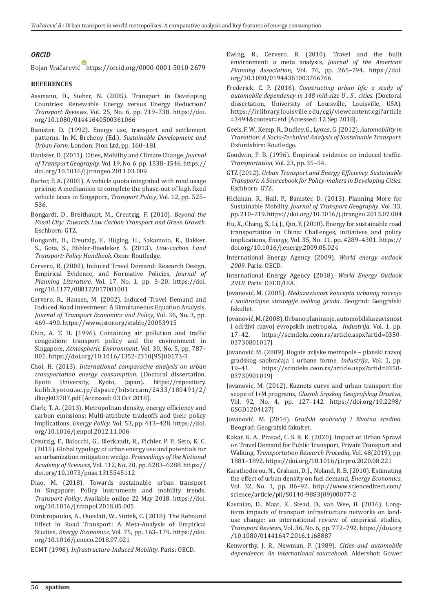#### *ORCID*

Bojan Vračarević https://orcid.org/0000-0001-5010-2679

#### **REFERENCES**

- Assmann, D., Sieber, N. (2005). Transport in Developing Countries: Renewable Energy versus Energy Reduction? *Transport Reviews*, Vol. 25, No. 6, pp. 719–738. https://doi. org/10.1080/01441640500361066
- Banister, D. (1992). Energy use, transport and settlement patterns. In M. Breheny (Ed.), *Sustainable Development and Urban Form*. London: Pion Ltd, pp. 160–181.
- Banister, D. (2011). Cities, Mobility and Climate Change, *Journal of Transport Geography*, Vol. 19, No. 6, pp. 1538–1546. https:// doi.org/10.1016/j.jtrangeo.2011.03.009
- Barter, P. A. (2005). A vehicle quota integrated with road usage pricing: A mechanism to complete the phase-out of high fixed vehicle taxes in Singapore, *Transport Policy*, Vol. 12, pp. 525– 536.
- Bongardt, D., Breithaupt, M., Creutzig, F. (2010). *Beyond the Fossil City: Towards Low Carbon Transport and Green Growth*. Eschborn: GTZ.
- Bongardt, D., Creutzig, F., Hüging, H., Sakamoto, K., Bakker, S., Gota, S., Böhler-Baedeker, S. (2013). *Low-carbon Land Transport: Policy Handbook*. Oxon: Routledge.
- Cervero, R. (2002). Induced Travel Demand: Research Design, Empirical Evidence, and Normative Policies, *Journal of Planning Literature*, Vol. 17, No. 1, pp. 3–20. https://doi. org/10.1177/088122017001001
- Cervero, R., Hansen, M. (2002). Induced Travel Demand and Induced Road Investment: A Simultaneous Equation Analysis, *Journal of Transport Economics and Policy*, Vol. 36, No. 3, pp. 469–490. https://www.jstor.org/stable/20053915
- Chin, A. T. H. (1996). Containing air pollution and traffic congestion: transport policy and the environment in Singapore, *Atmospheric Environment*, Vol. 30, No. 5, pp. 787– 801. https://doi.org/10.1016/1352-2310(95)00173-5
- Choi, H. (2013). *International comparative analysis on urban transportation energy consumption*. (Doctoral dissertation, Kyoto, Japan). https://repository. kulib.kyotou.ac.jp/dspace/bitstream/2433/180491/2/ dkogk03787.pdf [Accessed: 03 Oct 2018].
- Clark, T. A. (2013). Metropolitan density, energy efficiency and carbon emissions: Multi-attribute tradeoffs and their policy implications, *Energy Policy*, Vol. 53, pp. 413–428. https://doi. org/10.1016/j.enpol.2012.11.006
- Creutzig, F., Baiocchi, G., Bierkandt, R., Pichler, P. P., Seto, K. C. (2015). Global typology of urban energy use and potentials for an urbanization mitigation wedge. *Proceedings of the National Academy of Sciences*, Vol. 112, No. 20, pp. 6283–6288. https:// doi.org/10.1073/pnas.1315545112
- Diao, M. (2018). Towards sustainable urban transport in Singapore: Policy instruments and mobility trends, *Transport Policy*, Available online 22 May 2018*.* https://doi. org/10.1016/j.tranpol.2018.05.005
- Dimitropoulos, A., Oueslati, W., Sintek, C. (2018). The Rebound Effect in Road Transport: A Meta-Analysis of Empirical Studies, *Energy Economics*, Vol. 75, pp. 163–179. https://doi. org/10.1016/j.eneco.2018.07.021
- ECMT (1998). *Infrastructure-Induced Mobility*. Paris: OECD.
- Ewing, R., Cervero, R. (2010). Travel and the built environment: a meta analysis, *Journal of the American Planning Association*, Vol. 76, pp. 265–294. https://doi. org/10.1080/01944361003766766
- Frederick, C. P. (2016). *Constructing urban life: a study of automobile dependency in 148 mid-size U . S . cities.* (Doctoral dissertation, University of Louisville, Louisville, USA). https://ir.library.louisville.edu/cgi/viewcontent.cgi?article =3494&context=etd [Accessed: 12 Sep 2018].
- Geels, F. W., Kemp, R., Dudley, G., Lyons, G. (2012). *Automobility in Transition: A Socio-Technical Analysis of Sustainable Transport*. Oxfordshire: Routledge.
- Goodwin, P. B. (1996). Empirical evidence on induced traffic. *Transportation*, Vol. 23, pp. 35–54.
- GTZ (2012). *Urban Transport and Energy Efficiency. Sustainable Transport: A Sourcebook for Policy-makers in Developing Cities*. Eschborn: GTZ.
- Hickman, R., Hall, P., Banister, D. (2013). Planning More for Sustainable Mobility, *Journal of Transport Geography*, Vol. 33, pp. 210–219. https://doi.org/10.1016/j.jtrangeo.2013.07.004
- Hu, X., Chang, S., Li, J., Qin, Y. (2010). Energy for sustainable road transportation in China: Challenges, initiatives and policy implications, *Energy*, Vol. 35, No. 11, pp. 4289–4301. https:// doi.org/10.1016/j.energy.2009.05.024
- International Energy Agency (2009). *World energy outlook 2009*. Paris: OECD.
- International Energy Agency (2018). *World Energy Outlook 2018*. Paris: OECD/IEA.
- Jovanović, M. (2005). *Međuzavisnost koncepta urbanog razvoja i saobraćajne strategije velikog grada*. Beograd: Geografski fakultet.
- Jovanović, M. (2008). Urbano planiranje, automobilska zavisnost i održivi razvoj evropskih metropola, *Industrija*, Vol. 1, pp. 17–42. https://scindeks.ceon.rs/article.aspx?artid=0350- 03730801017J
- Jovanović, M. (2009). Bogate azijske metropole planski razvoj gradskog saobraćaja i urbane forme, *Industrija*, Vol. 1, pp. https://scindeks.ceon.rs/article.aspx?artid=0350-03730901019J
- Jovanovic, M. (2012). Kuznets curve and urban transport the scope of I+M programs, *Glasnik Srpskog Geografskog Drustva*, Vol. 92, No. 4, pp. 127–142. https://doi.org/10.2298/ GSGD1204127J
- Jovanović, M. (2014). *Gradski saobraćaj i životna sredina*. Beograd: Geografski fakultet.
- Kakar, K. A., Prasad, C. S. R. K. (2020). Impact of Urban Sprawl on Travel Demand for Public Transport, Private Transport and Walking, *Transportation Research Procedia*, Vol. 48(2019), pp. 1881–1892. https://doi.org/10.1016/j.trpro.2020.08.221
- Karathodorou, N., Graham, D. J., Noland, R. B. (2010). Estimating the effect of urban density on fuel demand, *Energy Economics*, Vol. 32, No. 1, pp. 86–92. http://www.sciencedirect.com/ science/article/pii/S0140-9883(09)00077-2
- Kasraian, D., Maat, K., Stead, D., van Wee, B. (2016). Longterm impacts of transport infrastructure networks on landuse change: an international review of empirical studies, *Transport Reviews*, Vol. 36, No. 6, pp. 772–792. https://doi.org /10.1080/01441647.2016.1168887
- Kenworthy, J. R., Newman, P. (1989). *Cities and automobile dependence: An international sourcebook*. Aldershot: Gower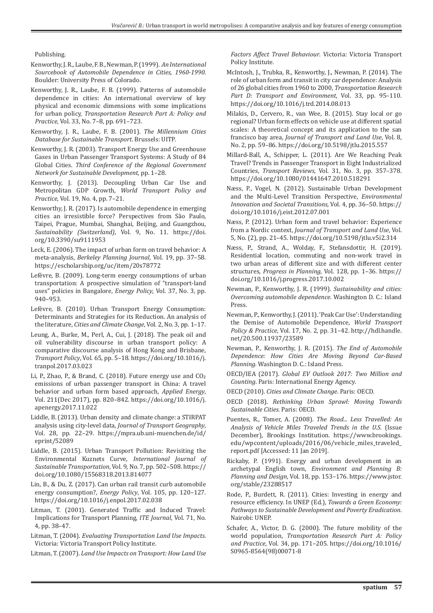Publishing.

- Kenworthy, J. R., Laube, F. B., Newman, P. (1999). *An International Sourcebook of Automobile Dependence in Cities, 1960-1990*. Boulder: University Press of Colorado.
- Kenworthy, J. R., Laube, F. B. (1999). Patterns of automobile dependence in cities: An international overview of key physical and economic dimensions with some implications for urban policy, *Transportation Research Part A: Policy and Practice*, Vol. 33, No. 7–8, pp. 691–723.
- Kenworthy, J. R., Laube, F. B. (2001). *The Millennium Cities Database for Sustainable Transport*. Brussels: UITP.
- Kenworthy, J. R. (2003). Transport Energy Use and Greenhouse Gases in Urban Passenger Transport Systems: A Study of 84 Global Cities. *Third Conference of the Regional Government Network for Sustainable Development*, pp. 1–28.
- Kenworthy, J. (2013). Decoupling Urban Car Use and Metropolitan GDP Growth, *World Transport Policy and Practice*, Vol. 19, No. 4, pp. 7–21.
- Kenworthy, J. R. (2017). Is automobile dependence in emerging cities an irresistible force? Perspectives from São Paulo, Taipei, Prague, Mumbai, Shanghai, Beijing, and Guangzhou, *Sustainability (Switzerland)*, Vol. 9, No. 11. https://doi. org/10.3390/su9111953
- Leck, E. (2006). The impact of urban form on travel behavior: A meta-analysis, *Berkeley Planning Journal*, Vol. 19, pp. 37–58. https://escholarship.org/uc/item/20s78772
- Lefèvre, B. (2009). Long-term energy consumptions of urban transportation: A prospective simulation of "transport-land uses" policies in Bangalore, *Energy Policy*, Vol. 37, No. 3, pp. 940–953.
- Lefèvre, B. (2010). Urban Transport Energy Consumption: Determinants and Strategies for its Reduction. An analysis of the literature, *Cities and Climate Change*, Vol. 2, No. 3, pp. 1–17.
- Leung, A., Burke, M., Perl, A., Cui, J. (2018). The peak oil and oil vulnerability discourse in urban transport policy: A comparative discourse analysis of Hong Kong and Brisbane, *Transport Policy*, Vol. 65, pp. 5–18. https://doi.org/10.1016/j. tranpol.2017.03.023
- Li, P., Zhao, P., & Brand, C. (2018). Future energy use and  $CO<sub>2</sub>$ emissions of urban passenger transport in China: A travel behavior and urban form based approach, *Applied Energy*, Vol. 211(Dec 2017), pp. 820–842. https://doi.org/10.1016/j. apenergy.2017.11.022
- Liddle, B. (2013). Urban density and climate change: a STIRPAT analysis using city-level data, *Journal of Transport Geography*, Vol. 28, pp. 22–29. https://mpra.ub.uni-muenchen.de/id/ eprint/52089
- Liddle, B. (2015). Urban Transport Pollution: Revisiting the Environmental Kuznets Curve, *International Journal of Sustainable Transportation*, Vol. 9, No. 7, pp. 502–508. https:// doi.org/10.1080/15568318.2013.814077
- Lin, B., & Du, Z. (2017). Can urban rail transit curb automobile energy consumption?, *Energy Policy*, Vol. 105, pp. 120–127. https://doi.org/10.1016/j.enpol.2017.02.038
- Litman, T. (2001). Generated Traffic and Induced Travel: Implications for Transport Planning, *ITE Journal*, Vol. 71, No. 4, pp. 38–47.
- Litman, T. (2004). *Evaluating Transportation Land Use Impacts*. Victoria: Victoria Transport Policy Institute.
- Litman, T. (2007). *Land Use Impacts on Transport: How Land Use*

*Factors Affect Travel Behaviour*. Victoria: Victoria Transport Policy Institute.

- McIntosh, J., Trubka, R., Kenworthy, J., Newman, P. (2014). The role of urban form and transit in city car dependence: Analysis of 26 global cities from 1960 to 2000, *Transportation Research Part D: Transport and Environment*, Vol. 33, pp. 95–110. https://doi.org/10.1016/j.trd.2014.08.013
- Milakis, D., Cervero, R., van Wee, B. (2015). Stay local or go regional? Urban form effects on vehicle use at different spatial scales: A theoretical concept and its application to the san francisco bay area, *Journal of Transport and Land Use*, Vol. 8, No. 2, pp. 59–86. https://doi.org/10.5198/jtlu.2015.557
- Millard-Ball, A., Schipper, L. (2011). Are We Reaching Peak Travel? Trends in Passenger Transport in Eight Industrialized Countries, *Transport Reviews*, Vol. 31, No. 3, pp. 357–378. https://doi.org/10.1080/01441647.2010.518291
- Næss, P., Vogel, N. (2012). Sustainable Urban Development and the Multi-Level Transition Perspective, *Environmental Innovation and Societal Transitions*, Vol. 4, pp. 36–50. https:// doi.org/10.1016/j.eist.2012.07.001
- Næss, P. (2012). Urban form and travel behavior: Experience from a Nordic context, *Journal of Transport and Land Use*, Vol. 5, No. (2), pp. 21–45. https://doi.org/10.5198/jtlu.v5i2.314
- Næss, P., Strand, A., Wolday, F., Stefansdottir, H. (2019). Residential location, commuting and non-work travel in two urban areas of different size and with different center structures, *Progress in Planning*, Vol. 128, pp. 1–36. https:// doi.org/10.1016/j.progress.2017.10.002
- Newman, P., Kenworthy, J. R. (1999). *Sustainability and cities: Overcoming automobile dependence*. Washington D. C.: Island Press.
- Newman, P., Kenworthy, J. (2011). 'Peak Car Use': Understanding the Demise of Automobile Dependence, *World Transport Policy & Practice*, Vol. 17, No. 2, pp. 31–42. http://hdl.handle. net/20.500.11937/23589
- Newman, P., Kenworthy, J. R. (2015). *The End of Automobile Dependence: How Cities Are Moving Beyond Car-Based Planning*. Washington D. C.: Island Press.
- OECD/IEA (2017). *Global EV Outlook 2017: Two Million and Counting*. Paris: International Energy Agency.
- OECD (2010). *Cities and Climate Change*. Paris: OECD.
- OECD (2018). *Rethinking Urban Sprawl: Moving Towards Sustainable Cities*. Paris: OECD.
- Puentes, R., Tomer, A. (2008). *The Road... Less Travelled: An Analysis of Vehicle Miles Traveled Trends in the U.S.* (Issue December), Brookings Institution. https://www.brookings. edu/wpcontent/uploads/2016/06/vehicle\_miles\_traveled\_ report.pdf [Accessed: 11 Jan 2019].
- Rickaby, P. (1991). Energy and urban development in an archetypal English town, *Environment and Planning B: Planning and Design*, Vol. 18, pp. 153–176. https://www.jstor. org/stable/23288517
- Rode, P., Burdett, R. (2011). Cities: Investing in energy and resource efficiency. In UNEP (Ed.), *Towards a Green Economy: Pathways to Sustainable Development and Poverty Eradication*. Nairobi: UNEP.
- Schafer, A., Victor, D. G. (2000). The future mobility of the world population, *Transportation Research Part A: Policy and Practice*, Vol. 34, pp. 171–205. https://doi.org/10.1016/ S0965-8564(98)00071-8